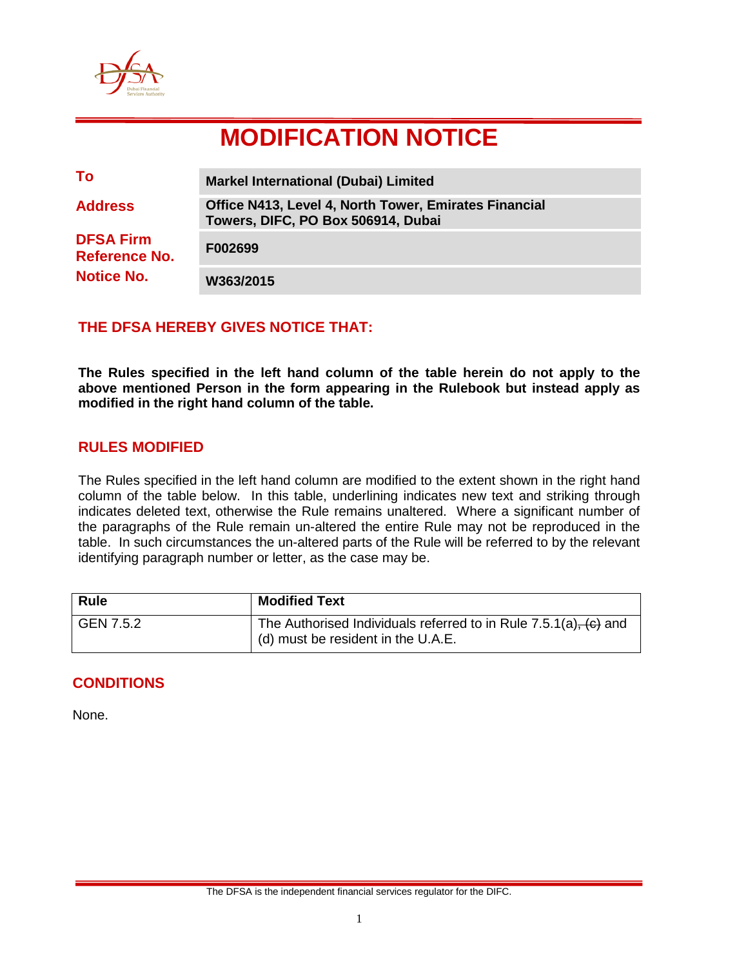

# **MODIFICATION NOTICE**

| To                                       | <b>Markel International (Dubai) Limited</b>                                                        |
|------------------------------------------|----------------------------------------------------------------------------------------------------|
| <b>Address</b>                           | <b>Office N413, Level 4, North Tower, Emirates Financial</b><br>Towers, DIFC, PO Box 506914, Dubai |
| <b>DFSA Firm</b><br><b>Reference No.</b> | F002699                                                                                            |
| <b>Notice No.</b>                        | W363/2015                                                                                          |

## **THE DFSA HEREBY GIVES NOTICE THAT:**

**The Rules specified in the left hand column of the table herein do not apply to the above mentioned Person in the form appearing in the Rulebook but instead apply as modified in the right hand column of the table.**

#### **RULES MODIFIED**

The Rules specified in the left hand column are modified to the extent shown in the right hand column of the table below. In this table, underlining indicates new text and striking through indicates deleted text, otherwise the Rule remains unaltered. Where a significant number of the paragraphs of the Rule remain un-altered the entire Rule may not be reproduced in the table. In such circumstances the un-altered parts of the Rule will be referred to by the relevant identifying paragraph number or letter, as the case may be.

| Rule      | <b>Modified Text</b>                                                                                          |
|-----------|---------------------------------------------------------------------------------------------------------------|
| GEN 7.5.2 | The Authorised Individuals referred to in Rule $7.5.1(a)$ , $(c)$ and<br>I (d) must be resident in the U.A.E. |

# **CONDITIONS**

None.